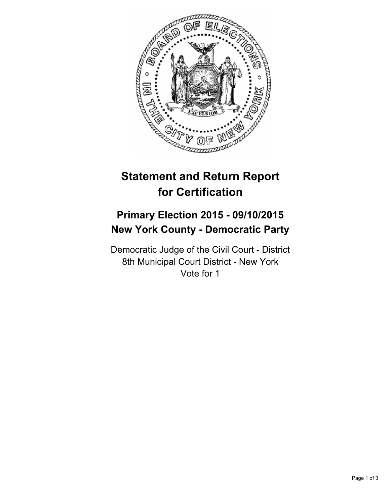

# **Statement and Return Report for Certification**

# **Primary Election 2015 - 09/10/2015 New York County - Democratic Party**

Democratic Judge of the Civil Court - District 8th Municipal Court District - New York Vote for 1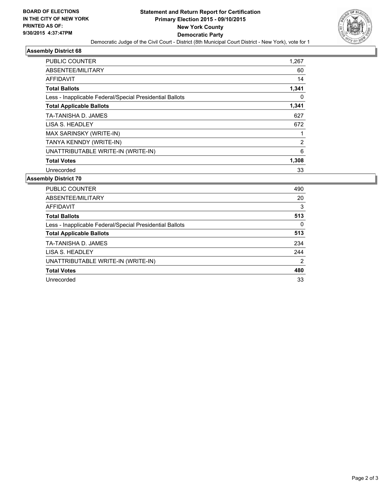

### **Assembly District 68**

| <b>PUBLIC COUNTER</b>                                    | 1,267 |
|----------------------------------------------------------|-------|
| ABSENTEE/MILITARY                                        | 60    |
| <b>AFFIDAVIT</b>                                         | 14    |
| <b>Total Ballots</b>                                     | 1,341 |
| Less - Inapplicable Federal/Special Presidential Ballots | 0     |
| <b>Total Applicable Ballots</b>                          | 1,341 |
| TA-TANISHA D. JAMES                                      | 627   |
| LISA S. HEADLEY                                          | 672   |
| MAX SARINSKY (WRITE-IN)                                  |       |
| TANYA KENNDY (WRITE-IN)                                  | 2     |
| UNATTRIBUTABLE WRITE-IN (WRITE-IN)                       | 6     |
| <b>Total Votes</b>                                       | 1,308 |
| Unrecorded                                               | 33    |

# **Assembly District 70**

| <b>PUBLIC COUNTER</b>                                    | 490 |
|----------------------------------------------------------|-----|
| ABSENTEE/MILITARY                                        | 20  |
| AFFIDAVIT                                                | 3   |
| <b>Total Ballots</b>                                     | 513 |
| Less - Inapplicable Federal/Special Presidential Ballots | 0   |
| <b>Total Applicable Ballots</b>                          | 513 |
| TA-TANISHA D. JAMES                                      | 234 |
| LISA S. HEADLEY                                          | 244 |
| UNATTRIBUTABLE WRITE-IN (WRITE-IN)                       | 2   |
| <b>Total Votes</b>                                       | 480 |
| Unrecorded                                               | 33  |